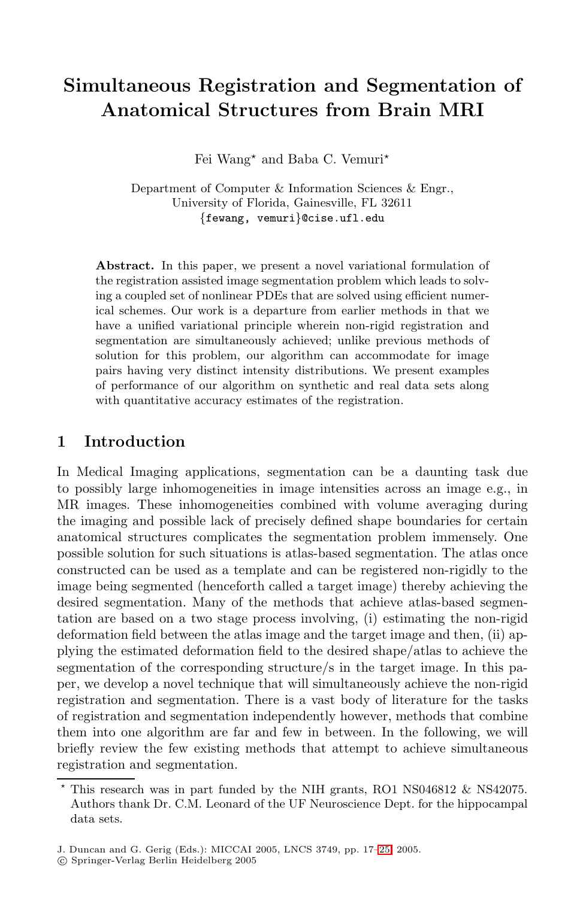# **Simultaneous Registration and Segmentation of Anatomical Structures from Brain MRI**

Fei Wang<sup>\*</sup> and Baba C. Vemuri<sup>\*</sup>

Department of Computer & Information Sciences & Engr., University of Florida, Gainesville, FL 32611 {fewang, vemuri}@cise.ufl.edu

**Abstract.** In this paper, we present a novel variational formulation of the registration assisted image segmentation problem which leads to solving a coupled set of nonlinear PDEs that are solved using efficient numerical schemes. Our work is a departure from earlier methods in that we have a unified variational principle wherein non-rigid registration and segmentation are simultaneously achieved; unlike previous methods of solution for this problem, our algorithm can accommodate for image pairs having very distinct intensity distributions. We present examples of performance of our algorithm on synthetic and real data sets along with quantitative accuracy estimates of the registration.

## **1 Introduction**

In Medical Imaging applications, segmentation can be a daunting task due to possibly large inhomogeneities in image intensities across an image e.g., in MR images. These inhomogeneities combined with volume averaging during the imaging and possible lack of precisely defined shape boundaries for certain anatomical structures complicates the segmentation problem immensely. One possible solution for such situations is atlas-based segmentation. The atlas once constructed can be used as a template and can be registered non-rigidly to the image being segmented (henceforth called a target image) thereby achieving the desired segmentation. Many of the methods that achieve atlas-based segmentation are based on a two stage process involving, (i) estimating the non-rigid deformation field between the atlas image and the target image and then, (ii) applying the estimated deformation field to the desired shape/atlas to achieve the segmentation of the corresponding structure/s in the target image. In this paper, we develop a novel technique that will simultaneously achieve the non-rigid registration and segmentation. There is a vast body of literature for the tasks of registration and segmentation independently however, methods that combine them into one algorithm are far a[nd](#page-8-0) few in between. In the following, we will briefly review the few existing methods that attempt to achieve simultaneous registration and segmentation.

This research was in part funded by the NIH grants, RO1 NS046812 & NS42075. Authors thank Dr. C.M. Leonard of the UF Neuroscience Dept. for the hippocampal data sets.

J. Duncan and G. Gerig (Eds.): MICCAI 2005, LNCS 3749, pp. 17–25, 2005.

c Springer-Verlag Berlin Heidelberg 2005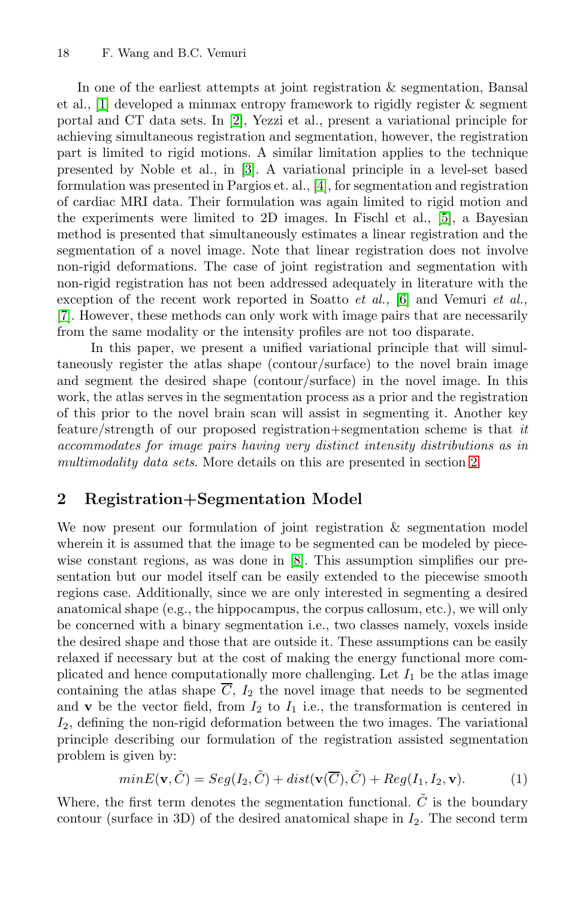In one of the earliest attempts at joint registration & segmentation, Bansal et al., [1] developed a minmax entropy frame[wo](#page-8-2)rk to rigidly register & segment portal and CT data sets. In [2], Yezzi et al., present a variational principle for achieving simultaneous registration and segmentation, however, the registration part is limited to rigid motions. A similar limitation applies to the technique presented by Noble et al., in [3]. A variational principle in a level-set based formulation was presented in Pargios et[. a](#page-8-3)l., [4], for segmentation and registration of cardiac MRI data. Their formulation was again limited to rigid motion and the experiments were limited to 2D images. In Fischl et al., [5], a Bayesian method is presented that simultaneously estimates a linear registration and the segmentation of a novel image. Note that linear registration does not involve non-rigid deformations. The case of joint registration and segmentation with non-rigid registration has not been addressed adequately in literature with the exception of the recent work reported in Soatto  $et \ al., \ [6]$  and Vemuri  $et \ al.,$ [7]. However, these methods can only work with image pairs that are necessarily from the same modality or the intensity profiles are not too disparate.

<span id="page-1-0"></span>In this paper, we present a unified variatio[na](#page-1-0)l principle that will simultaneously register the atlas shape (contour/surface) to the novel brain image and segment the desired shape (contour/surface) in the novel image. In this work, the atlas serves in the segmentation process as a prior and the registration of this prior to the novel brain scan will assist in segmenting it. Another key feature/strength of our proposed registration+segmentation scheme is that it accommodates for i[mag](#page-8-4)e pairs having very distinct intensity distributions as in multimodality data sets. More details on this are presented in section 2.

## **2 Registration+Segmentation Model**

We now present our formulation of joint registration  $\&$  segmentation model wherein it is assumed that the image to be segmented can be modeled by piecewise constant regions, as was done in [8]. This assumption simplifies our presentation but our model itself can be easily extended to the piecewise smooth regions case. Additionally, since we are only interested in segmenting a desired anatomical shape (e.g., the hippocampus, the corpus callosum, etc.), we will only be concerned with a binary segmentation i.e., two classes namely, voxels inside the desired shape and those that are outside it. These assumptions can be easily relaxed if necessary but at the cost of making the energy functional more complicated and hence computationally more challenging. Let  $I_1$  be the atlas image containing the atlas shape  $C, I_2$  the novel image that needs to be segmented and **v** be the vector field, from  $I_2$  to  $I_1$  i.e., the transformation is centered in  $I_2$ , defining the non-rigid deformation between the two images. The variational principle describing our formulation of the registration assisted segmentation problem is given by:

$$
minE(\mathbf{v}, \tilde{C}) = Seg(I_2, \tilde{C}) + dist(\mathbf{v}(\overline{C}), \tilde{C}) + Reg(I_1, I_2, \mathbf{v}).
$$
\n(1)

Where, the first term denotes the segmentation functional.  $\tilde{C}$  is the boundary contour (surface in 3D) of the desired anatomical shape in  $I_2$ . The second term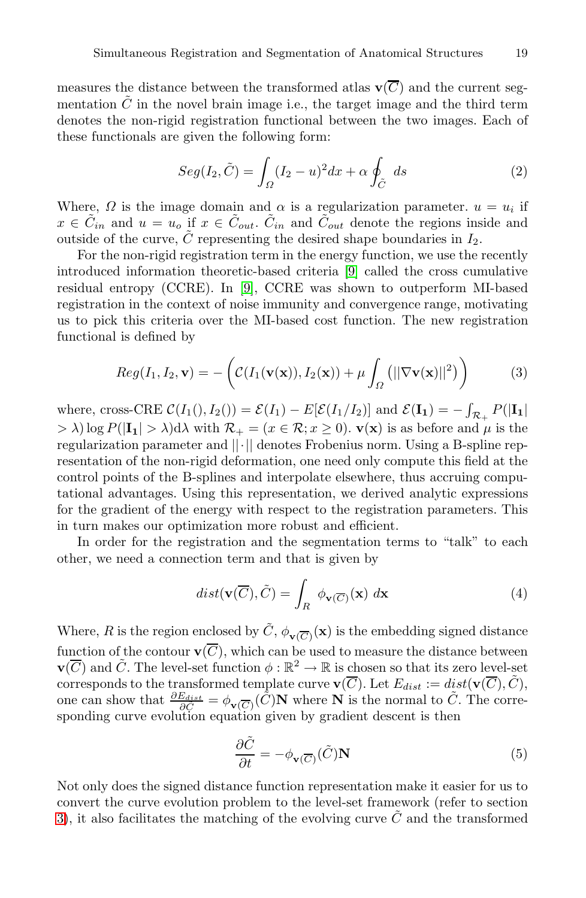measures the distance between the transformed atlas  $\mathbf{v}(\overline{C})$  and the current segmentation  $\tilde{C}$  in the novel brain image i.e., the target image and the third term denotes the non-rigid registration functional between the two images. Each of these functionals are given the following form:

$$
Seg(I_2, \tilde{C}) = \int_{\Omega} (I_2 - u)^2 dx + \alpha \oint_{\tilde{C}} ds
$$
 (2)

Where,  $\Omega$  is the image domain and  $\alpha$  is a regularization parameter.  $u = u_i$  if  $x \in \tilde{C}_{in}$  and  $u = u_o$  if  $x \in \tilde{C}_{out}$ .  $\tilde{C}_{in}$  and  $\tilde{C}_{out}$  denote the regions inside and outside of the curve,  $\tilde{C}$  representing the desired shape boundaries in  $I_2$ .

For the non-rigid registration term in the energy function, we use the recently introduced information theoretic-based criteria [9] called the cross cumulative residual entropy (CCRE). In [9], CCRE was shown to outperform MI-based registration in the context of noise immunity and convergence range, motivating us to pick this criteria over the MI-based cost function. The new registration functional is defined by

$$
Reg(I_1, I_2, \mathbf{v}) = -\left(\mathcal{C}(I_1(\mathbf{v}(\mathbf{x})), I_2(\mathbf{x})) + \mu \int_{\Omega} (||\nabla \mathbf{v}(\mathbf{x})||^2)\right) \tag{3}
$$

where, cross-CRE  $\mathcal{C}(I_1(), I_2()) = \mathcal{E}(I_1) - E[\mathcal{E}(I_1/I_2)]$  and  $\mathcal{E}(\mathbf{I}_1) = -\int_{\mathcal{R}_+} P(|\mathbf{I}_1|)$  $> \lambda$ ) log  $P(|\mathbf{I_1}| > \lambda) d\lambda$  with  $\mathcal{R}_+ = (x \in \mathcal{R}; x \ge 0)$ . **v**(**x**) is as before and  $\mu$  is the regularization parameter and ||·|| denotes Frobenius norm. Using a B-spline representation of the non-rigid deformation, one need only compute this field at the control points of the B-splines and interpolate elsewhere, thus accruing computational advantages. Using this representation, we derived analytic expressions for the gradient of the energy with respect to the registration parameters. This in turn makes our optimization more robust and efficient.

In order for the registration and the segmentation terms to "talk" to each other, we need a connection term and that is given by

<span id="page-2-0"></span>
$$
dist(\mathbf{v}(\overline{C}), \tilde{C}) = \int_{R} \phi_{\mathbf{v}(\overline{C})}(\mathbf{x}) \, d\mathbf{x} \tag{4}
$$

Where, R is the region enclosed by  $\tilde{C}$ ,  $\phi_{\mathbf{v}(\overline{C})}(\mathbf{x})$  is the embedding signed distance function of the contour  $\mathbf{v}(\overline{C})$ , which can be used to measure the distance between  $\mathbf{v}(\overline{C})$  and  $\tilde{C}$ . The level-set function  $\phi : \mathbb{R}^2 \to \mathbb{R}$  is chosen so that its zero level-set corresponds to the transformed template curve  $\mathbf{v}(\overline{C})$ . Let  $E_{dist} := dist(\mathbf{v}(\overline{C}), \tilde{C})$ , one can show that  $\frac{\partial E_{dist}}{\partial \tilde{C}} = \phi_{\mathbf{v}(\overline{C})}(\tilde{C})\mathbf{N}$  where **N** is the normal to  $\tilde{C}$ . The corresponding curve evolution equation given by gradient descent is then

$$
\frac{\partial \tilde{C}}{\partial t} = -\phi_{\mathbf{v}(\overline{C})}(\tilde{C})\mathbf{N}
$$
 (5)

Not only does the signed distance function representation make it easier for us to convert the curve evolution problem to the level-set framework (refer to section 3), it also facilitates the matching of the evolving curve  $\tilde{C}$  and the transformed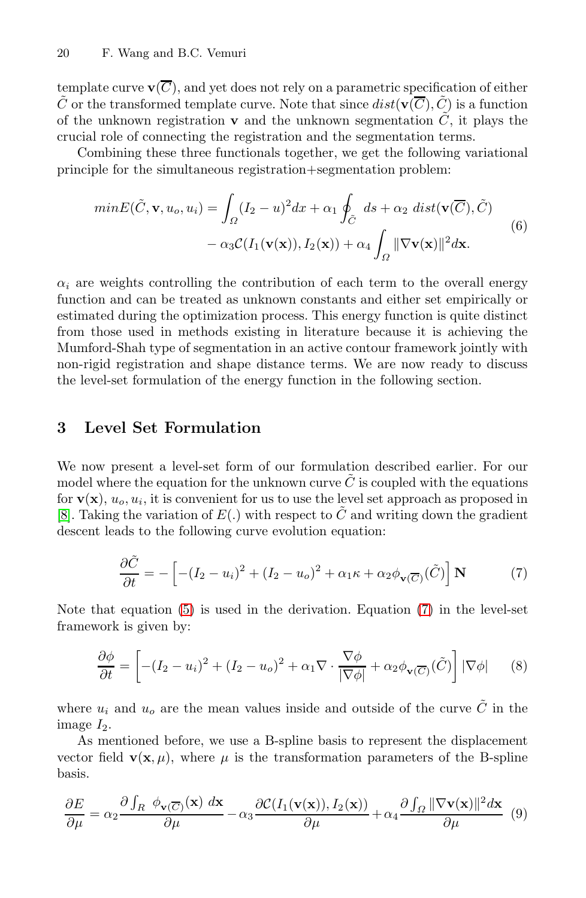template curve  $\mathbf{v}(\overline{C})$ , and yet does not rely on a parametric specification of either C or the transformed template curve. Note that since  $dist(\mathbf{v}(\overline{C}), \tilde{C})$  is a function of the unknown registration **v** and the unknown segmentation  $\tilde{C}$ , it plays the crucial role of connecting the registration and the segmentation terms.

Combining these three functionals together, we get the following variational principle for the simultaneous registration+segmentation problem:

$$
minE(\tilde{C}, \mathbf{v}, u_o, u_i) = \int_{\Omega} (I_2 - u)^2 dx + \alpha_1 \oint_{\tilde{C}} ds + \alpha_2 \ dist(\mathbf{v}(\overline{C}), \tilde{C})
$$

$$
- \alpha_3 C(I_1(\mathbf{v}(\mathbf{x})), I_2(\mathbf{x})) + \alpha_4 \int_{\Omega} ||\nabla \mathbf{v}(\mathbf{x})||^2 d\mathbf{x}.
$$
 (6)

 $\alpha_i$  are weights controlling the contribution of each term to the overall energy function and can be treated as unknown constants and either set empirically or estimated during the optimization process. This energy function is quite distinct from those used in methods existing in literature because it is achieving the Mumford-Shah type of segmentation in an active contour framework jointly with non-rigid registration and shape distance terms. We are now ready to discuss the level-set formulation of the energy function in the following section.

## <span id="page-3-0"></span>**3 Level Set Formulation**

<span id="page-3-2"></span>We now present a level-set form of our formulation described earlier. For our model where the equation for the unknown curve  $C$  is coupled with the equations fo[r](#page-2-0)  $\mathbf{v}(\mathbf{x})$  $\mathbf{v}(\mathbf{x})$  $\mathbf{v}(\mathbf{x})$ ,  $u_o, u_i$ , it is conv[e](#page-3-0)nient for us to use the level set approach as proposed in [8]. Taking the variation of  $E(.)$  with respect to  $\tilde{C}$  and writing down the gradient descent leads to the following curve evolution equation:

$$
\frac{\partial \tilde{C}}{\partial t} = -\left[ -(I_2 - u_i)^2 + (I_2 - u_o)^2 + \alpha_1 \kappa + \alpha_2 \phi_{\mathbf{v}(\overline{C})}(\tilde{C}) \right] \mathbf{N} \tag{7}
$$

<span id="page-3-1"></span>Note that equation  $(5)$  is used in the derivation. Equation  $(7)$  in the level-set framework is given by:

$$
\frac{\partial \phi}{\partial t} = \left[ -(I_2 - u_i)^2 + (I_2 - u_o)^2 + \alpha_1 \nabla \cdot \frac{\nabla \phi}{|\nabla \phi|} + \alpha_2 \phi_{\mathbf{v}(\overline{C})}(\tilde{C}) \right] |\nabla \phi| \qquad (8)
$$

where  $u_i$  and  $u_o$  are the mean values inside and outside of the curve  $\tilde{C}$  in the image  $I_2$ .

As mentioned before, we use a B-spline basis to represent the displacement vector field  $\mathbf{v}(\mathbf{x}, \mu)$ , where  $\mu$  is the transformation parameters of the B-spline basis.

$$
\frac{\partial E}{\partial \mu} = \alpha_2 \frac{\partial \int_R \phi_{\mathbf{v}(\overline{C})}(\mathbf{x}) \, d\mathbf{x}}{\partial \mu} - \alpha_3 \frac{\partial \mathcal{C}(I_1(\mathbf{v}(\mathbf{x})), I_2(\mathbf{x}))}{\partial \mu} + \alpha_4 \frac{\partial \int_{\Omega} ||\nabla \mathbf{v}(\mathbf{x})||^2 d\mathbf{x}}{\partial \mu} \tag{9}
$$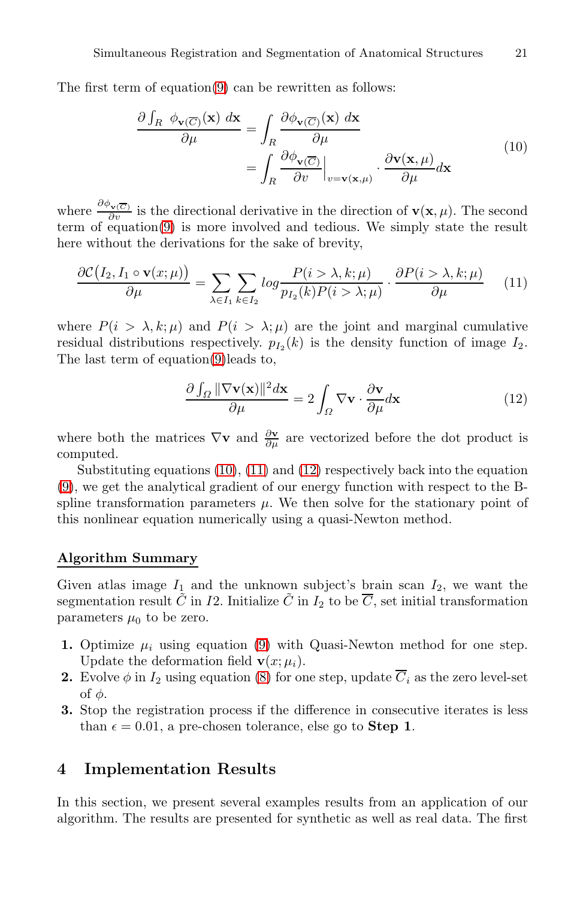The first term of equation(9) can be rewritten as follows:

<span id="page-4-1"></span><span id="page-4-0"></span>
$$
\frac{\partial \int_R \phi_{\mathbf{v}(\overline{C})}(\mathbf{x}) \, d\mathbf{x}}{\partial \mu} = \int_R \frac{\partial \phi_{\mathbf{v}(\overline{C})}(\mathbf{x}) \, d\mathbf{x}}{\partial \mu} \n= \int_R \frac{\partial \phi_{\mathbf{v}(\overline{C})}}{\partial v} \Big|_{v = \mathbf{v}(\mathbf{x}, \mu)} \cdot \frac{\partial \mathbf{v}(\mathbf{x}, \mu)}{\partial \mu} d\mathbf{x}
$$
\n(10)

where  $\frac{\partial \phi_{\mathbf{v}}(\overline{c})}{\partial v}$  is the directional derivative in the direction of **v**(**x**,  $\mu$ ). The second term of equation(9) is more involved and tedious. We simply state the result here wi[th](#page-3-1)out the derivations for the sake of brevity,

<span id="page-4-2"></span>
$$
\frac{\partial \mathcal{C}(I_2, I_1 \circ \mathbf{v}(x; \mu))}{\partial \mu} = \sum_{\lambda \in I_1} \sum_{k \in I_2} \log \frac{P(i > \lambda, k; \mu)}{p_{I_2}(k)P(i > \lambda; \mu)} \cdot \frac{\partial P(i > \lambda, k; \mu)}{\partial \mu} \tag{11}
$$

where  $P(i > \lambda, k; \mu)$  and  $P(i > \lambda; \mu)$  are the joint and marginal cumulative residual distributions respectively.  $p_{I_2}(k)$  is the density function of image  $I_2$ . The las[t](#page-4-0) [te](#page-4-0)r[m](#page-4-1) [of](#page-4-1) equa[tion](#page-4-2)(9)leads to,

$$
\frac{\partial \int_{\Omega} \|\nabla \mathbf{v}(\mathbf{x})\|^2 d\mathbf{x}}{\partial \mu} = 2 \int_{\Omega} \nabla \mathbf{v} \cdot \frac{\partial \mathbf{v}}{\partial \mu} d\mathbf{x}
$$
(12)

where both the matrices  $\nabla$ **v** and  $\frac{\partial \mathbf{v}}{\partial \mu}$  are vectorized before the dot product is computed.

Substituting equations (10), (11) and (12) respectively back into the equation (9), we get the analytical gradient of our energy function with respect to the Bspline transformation parameters  $\mu$ . We then solve for the stationary point of this nonlinear [eq](#page-3-1)uation numerically using a quasi-Newton method.

#### **Algorithm S[um](#page-3-2)mary**

Given atlas image  $I_1$  and the unknown subject's brain scan  $I_2$ , we want the segmentation result  $\tilde{C}$  in I2. Initialize  $\tilde{C}$  in  $I_2$  to be  $\overline{C}$ , set initial transformation parameters  $\mu_0$  to be zero.

- **1.** Optimize  $\mu_i$  using equation (9) with Quasi-Newton method for one step. Update the deformation field  $\mathbf{v}(x; \mu_i)$ .
- **2.** Evolve  $\phi$  in  $I_2$  using equation (8) for one step, update  $\overline{C}_i$  as the zero level-set of  $φ$ .
- **3.** Stop the registration process if the difference in consecutive iterates is less than  $\epsilon = 0.01$ , a pre-chosen tolerance, else go to **Step 1**.

## **4 Implementation Results**

In this section, we present several examples results from an application of our algorithm. The results are presented for synthetic as well as real data. The first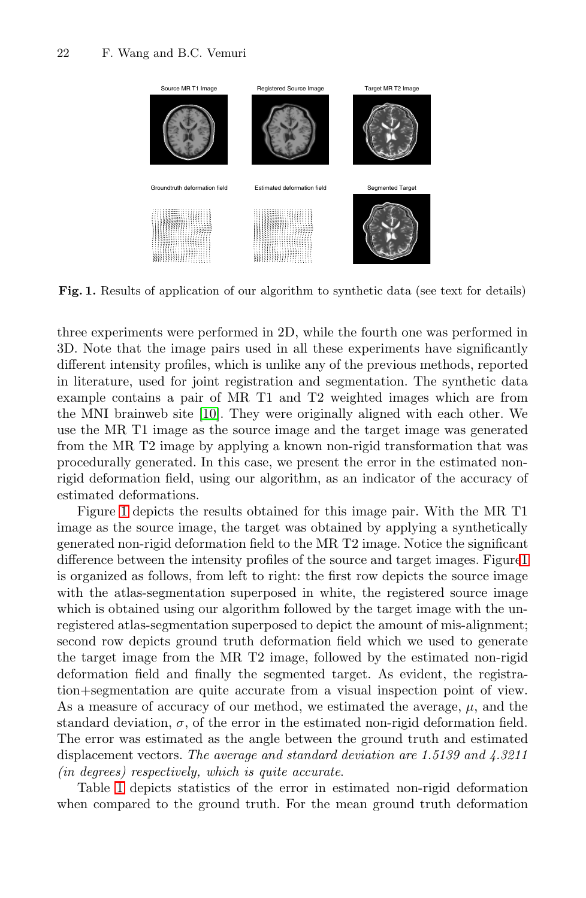

<span id="page-5-0"></span>**Fig. [1.](#page-8-6)** Results of application of our algorithm to synthetic data (see text for details)

three experiments were performed in 2D, while the fourth one was performed in 3D. Note that the image pairs used in all these experiments have significantly different intensity profiles, which is unlike any of the previous methods, reported in literature, used for joint registration and segmentation. The synthetic data example contains a pair of MR T1 and T2 weighted images which are from the MNI brainweb site [10]. They were originally aligned with each other. We use the MR T1 image as the source image and the target image was generated from the MR T2 image by applying a known non-rigid tra[nsf](#page-5-0)ormation that was procedurally generated. In this case, we present the error in the estimated nonrigid deformation field, using our algorithm, as an indicator of the accuracy of estimated deformations.

Figure 1 depicts the results obtained for this image pair. With the MR T1 image as the source image, the target was obtained by applying a synthetically generated non-rigid deformation field to the MR T2 image. Notice the significant difference between the intensity profiles of the source and target images. Figure1 is organized as follows, from left to right: the first row depicts the source image with the atlas-segmentation superposed in white, the registered source image which is obtained using our algorithm followed by the target image with the unregistered atlas-segmentation superposed to depict the amount of mis-alignment; second row depicts ground truth deformation field which we used to generate the target image from the MR T2 image, followed by the estimated non-rigid deformation field and finally the segmented target. As evident, the registration+segmentation are quite accurate from a visual inspection point of view. As a measure of accuracy of our method, we estimated the average,  $\mu$ , and the standard deviation,  $\sigma$ , of the error in the estimated non-rigid deformation field. The error was estimated as the angle between the ground truth and estimated displacement vectors. The average and standard deviation are 1.5139 and 4.3211 (in degrees) respectively, which is quite accurate.

Table 1 depicts statistics of the error in estimated non-rigid deformation when compared to the ground truth. For the mean ground truth deformation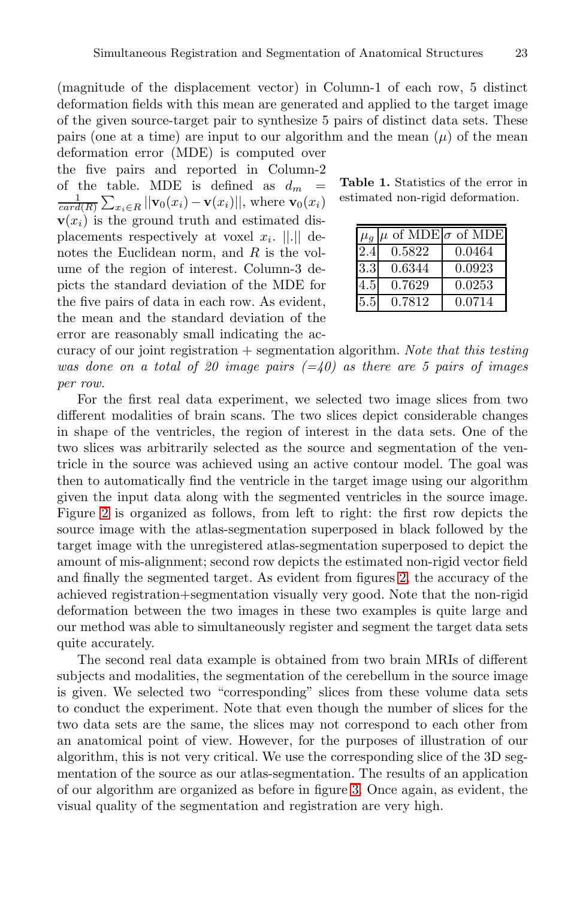(magnitude of the displacement vector) in Column-1 of each row, 5 distinct deformation fields with this mean are generated and applied to the target image of the given source-target pair to synthesize 5 pairs of distinct data sets. These pairs (one at a time) are input to our algorithm and the mean  $(\mu)$  of the mean deformation error (MDE) is computed over

the five pairs and reported in Column-2 of the table. MDE is defined as  $d_m$  $\frac{1}{card(R)}$   $\sum_{x_i \in R} ||\mathbf{v}_0(x_i) - \mathbf{v}(x_i)||$ , where  $\mathbf{v}_0(x_i)$  $\mathbf{v}(x_i)$  is the ground truth and estimated displacements respectively at voxel  $x_i$ . ||.|| denotes the Euclidean norm, and R is the volume of the region of interest. Column-3 depicts the standard deviation of the MDE for the five pairs of data in each row. As evident, the mean and the standard deviation of the error are reasonably small indicating the ac-

**Table 1.** Statistics of the error in estimated non-rigid deformation.

|     |        | $\mu_g$ $\mu$ of MDE $\sigma$ of MDE |
|-----|--------|--------------------------------------|
| 2.4 | 0.5822 | 0.0464                               |
| 3.3 | 0.6344 | 0.0923                               |
| 4.5 | 0.7629 | 0.0253                               |
| 5.5 | 0.7812 | 0.0714                               |

curacy of our joint registration  $+$  segmentation algorithm. Note that this testing was done on a total of 20 image pairs  $(=40)$  as there are 5 pairs of images per row.

For the first real data experiment, we selected two image slices from two different modalities of brain scans. The two slices depict considerable changes in shape of the ventricles, the region of interest in the data sets. One of the two slices was arbitrarily selected as the source and segmentation of the ventricle in the source was achieved usin[g a](#page-7-0)n active contour model. The goal was then to automatically find the ventricle in the target image using our algorithm given the input data along with the segmented ventricles in the source image. Figure 2 is organized as follows, from left to right: the first row depicts the source image with the atlas-segmentation superposed in black followed by the target image with the unregistered atlas-segmentation superposed to depict the amount of mis-alignment; second row depicts the estimated non-rigid vector field and finally the segmented target. As evident from figures 2, the accuracy of the achieved registration+segmentation visually very good. Note that the non-rigid deformation between the two images in these two examples is quite large and our method was able to simultaneously register and segment the target data sets quite accurately.

The second real data example is obtained from two brain MRIs of different subjects and modalities, the se[gm](#page-7-1)entation of the cerebellum in the source image is given. We selected two "corresponding" slices from these volume data sets to conduct the experiment. Note that even though the number of slices for the two data sets are the same, the slices may not correspond to each other from an anatomical point of view. However, for the purposes of illustration of our algorithm, this is not very critical. We use the corresponding slice of the 3D segmentation of the source as our atlas-segmentation. The results of an application of our algorithm are organized as before in figure 3. Once again, as evident, the visual quality of the segmentation and registration are very high.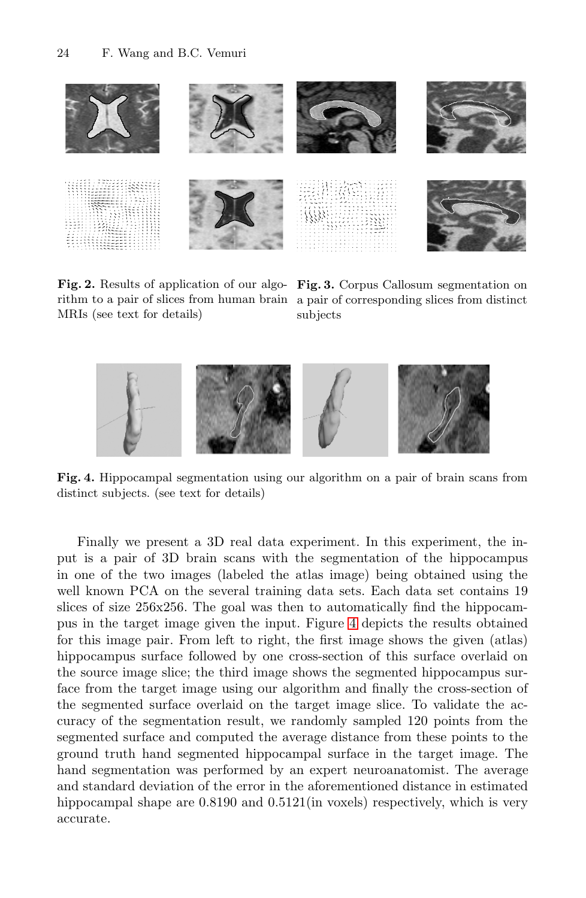<span id="page-7-0"></span>

MRIs (see text for details)

<span id="page-7-1"></span>Fig. 2. Results of application of our algo- Fig. 3. Corpus Callosum segmentation on rithm to a pair of slices from human brain a pair of corresponding slices from distinct subjects



**Fig. 4.** Hippocampal segmentation using our algorithm on a pair of brain scans from distinct subjects. (see text for details)

Finally we present a 3D real data experiment. In this experiment, the input is a pair of 3D brain scans with the segmentation of the hippocampus in one of the two images (labeled the atlas image) being obtained using the well known PCA on the several training data sets. Each data set contains 19 slices of size 256x256. The goal was then to automatically find the hippocampus in the target image given the input. Figure 4 depicts the results obtained for this image pair. From left to right, the first image shows the given (atlas) hippocampus surface followed by one cross-section of this surface overlaid on the source image slice; the third image shows the segmented hippocampus surface from the target image using our algorithm and finally the cross-section of the segmented surface overlaid on the target image slice. To validate the accuracy of the segmentation result, we randomly sampled 120 points from the segmented surface and computed the average distance from these points to the ground truth hand segmented hippocampal surface in the target image. The hand segmentation was performed by an expert neuroanatomist. The average and standard deviation of the error in the aforementioned distance in estimated hippocampal shape are  $0.8190$  and  $0.5121$ (in voxels) respectively, which is very accurate.